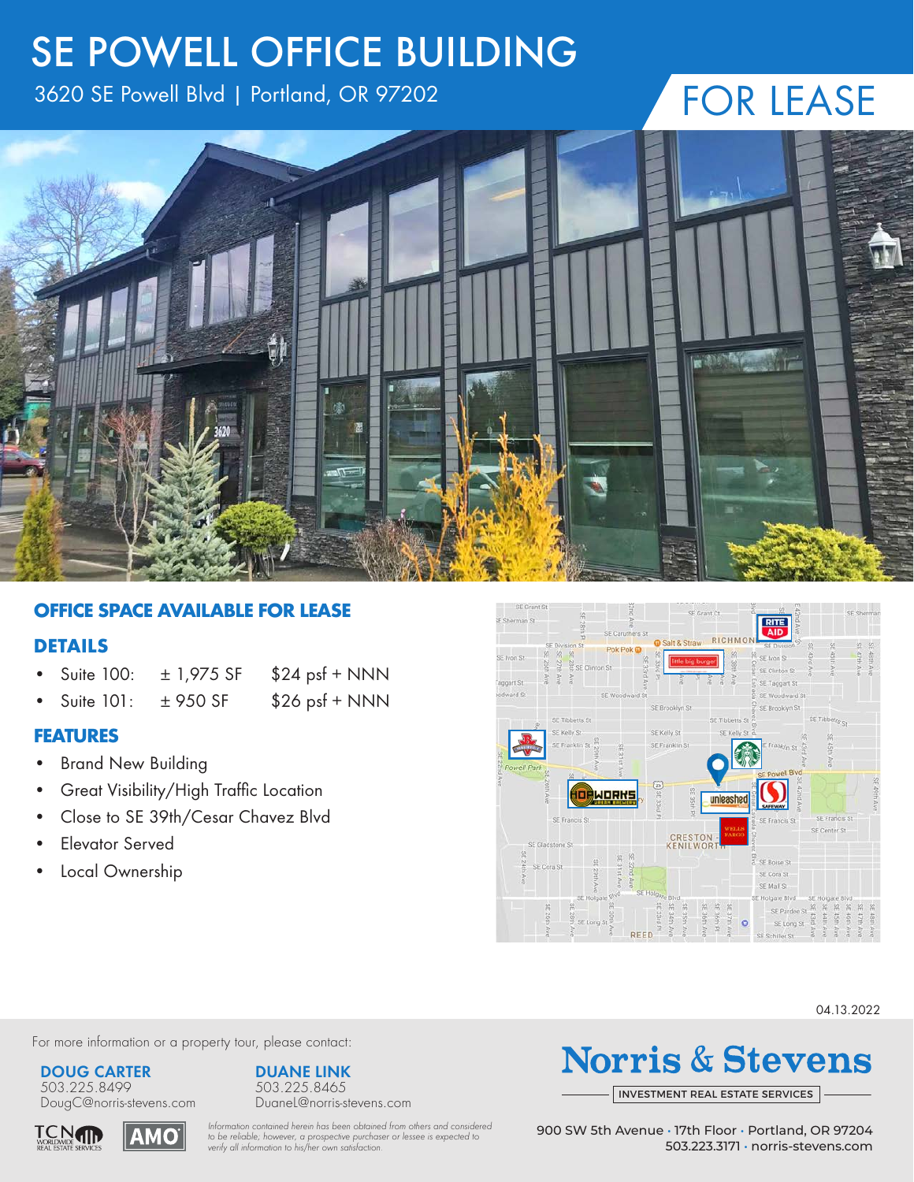## SE POWELL OFFICE BUILDING

3620 SE Powell Blvd | Portland, OR 97202

# FOR LEASE



#### **OFFICE SPACE AVAILABLE FOR LEASE** 363 SE POWER

### **DETAILS**

- Suite 100:  $\pm$  1,975 SF \$24 psf + NNN
	- Suite 101:  $\pm$  950 SF \$26 psf + NNN

### **FEATURES**

- Brand New Building
- Great Visibility/High Traffic Location
- Close to SE 39th/Cesar Chavez Blvd
- Elevator Served
- Local Ownership



04.13.2022

For more information or a property tour, please contact:

#### **DOUG CARTER**

503.225.8499 DougC@norris-stevens.com

**AMO** 





**DUANE LINK**

**Norris & Stevens** 

INVESTMENT REAL ESTATE SERVICES

*Information contained herein has been obtained from others and considered to be reliable; however, a prospective purchaser or lessee is expected to verify all information to his/her own satisfaction.*

900 SW 5th Avenue • 17th Floor • Portland, OR 97204 503.223.3171 • norris-stevens.com